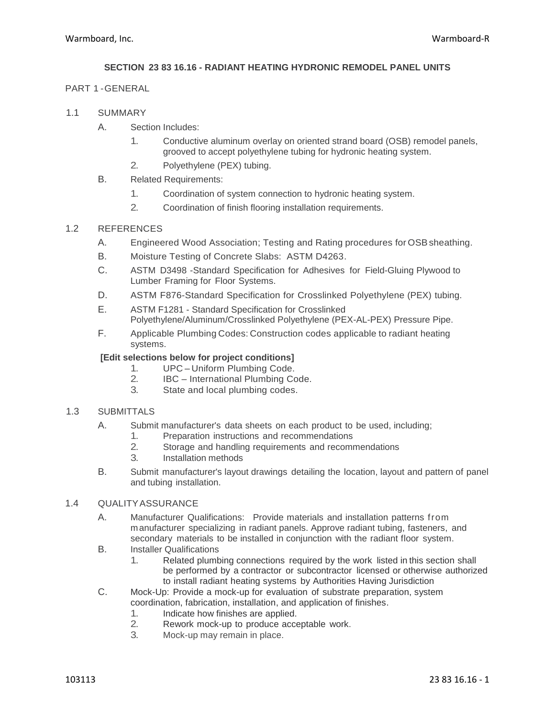# **SECTION 23 83 16.16 - RADIANT HEATING HYDRONIC REMODEL PANEL UNITS**

### PART 1 -GENERAL

- 1.1 SUMMARY
	- A. Section Includes:
		- 1. Conductive aluminum overlay on oriented strand board (OSB) remodel panels, grooved to accept polyethylene tubing for hydronic heating system.
		- 2. Polyethylene (PEX) tubing.
	- B. Related Requirements:
		- 1. Coordination of system connection to hydronic heating system.
		- 2. Coordination of finish flooring installation requirements.

### 1.2 REFERENCES

- A. Engineered Wood Association; Testing and Rating procedures for OSBsheathing.
- B. Moisture Testing of Concrete Slabs: ASTM D4263.
- C. ASTM D3498 -Standard Specification for Adhesives for Field-Gluing Plywood to Lumber Framing for Floor Systems.
- D. ASTM F876-Standard Specification for Crosslinked Polyethylene (PEX) tubing.
- E. ASTM F1281 Standard Specification for Crosslinked Polyethylene/Aluminum/Crosslinked Polyethylene (PEX-AL-PEX) Pressure Pipe.
- F. Applicable Plumbing Codes: Construction codes applicable to radiant heating systems.

### **[Edit selections below for project conditions]**

- 1. UPC Uniform Plumbing Code.<br>2 BC International Plumbing Co
- 2. IBC International Plumbing Code.<br>3. State and local plumbing codes.
- State and local plumbing codes.

# 1.3 SUBMITTALS

- A. Submit manufacturer's data sheets on each product to be used, including;
	- 1. Preparation instructions and recommendations<br>2. Storage and handling requirements and recomments
	- Storage and handling requirements and recommendations
	- 3. Installation methods
- B. Submit manufacturer's layout drawings detailing the location, layout and pattern of panel and tubing installation.

### 1.4 QUALITYASSURANCE

- A. Manufacturer Qualifications: Provide materials and installation patterns from manufacturer specializing in radiant panels. Approve radiant tubing, fasteners, and secondary materials to be installed in conjunction with the radiant floor system.
- B. Installer Qualifications
	- 1. Related plumbing connections required by the work listed in this section shall be performed by a contractor or subcontractor licensed or otherwise authorized to install radiant heating systems by Authorities Having Jurisdiction
- C. Mock-Up: Provide a mock-up for evaluation of substrate preparation, system coordination, fabrication, installation, and application of finishes.
	- 1. Indicate how finishes are applied.
	- 2. Rework mock-up to produce acceptable work.
	- 3. Mock-up may remain in place.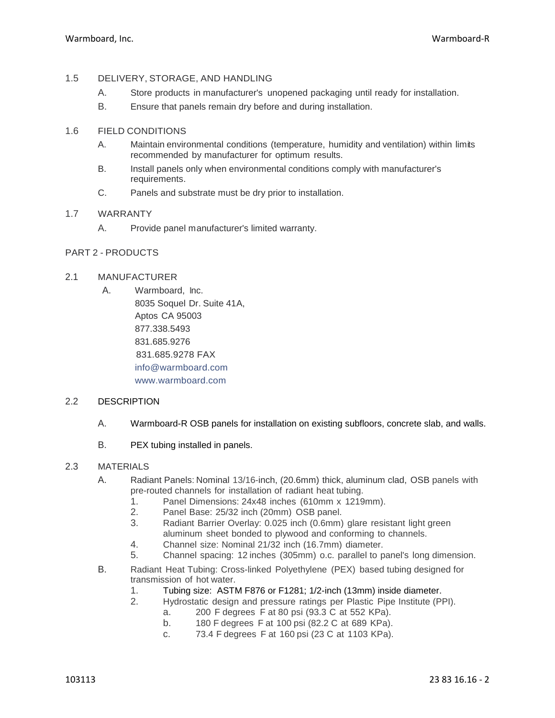# 1.5 DELIVERY, STORAGE, AND HANDLING

- A. Store products in manufacturer's unopened packaging until ready for installation.
- B. Ensure that panels remain dry before and during installation.

# 1.6 FIELD CONDITIONS

- A. Maintain environmental conditions (temperature, humidity and ventilation) within limits recommended by manufacturer for optimum results.
- B. Install panels only when environmental conditions comply with manufacturer's requirements.
- C. Panels and substrate must be dry prior to installation.

### 1.7 WARRANTY

A. Provide panel manufacturer's limited warranty.

# PART 2 - PRODUCTS

# 2.1 MANUFACTURER

A. Warmboard, Inc. 8035 Soquel Dr. Suite 41A, Aptos CA 95003 877.338.5493 831.685.9276 831.685.9278 FAX [info@warmboard.com](mailto:info@warmboard.com) [www.warmboard.com](http://www.warmboard.com/)

### 2.2 DESCRIPTION

- A. Warmboard-R OSB panels for installation on existing subfloors, concrete slab, and walls.
- B. PEX tubing installed in panels.

# 2.3 MATERIALS

- A. Radiant Panels: Nominal 13/16-inch, (20.6mm) thick, aluminum clad, OSB panels with pre-routed channels for installation of radiant heat tubing.
	- 1. Panel Dimensions: 24x48 inches (610mm x 1219mm).
	- 2. Panel Base: 25/32 inch (20mm) OSB panel.
	- 3. Radiant Barrier Overlay: 0.025 inch (0.6mm) glare resistant light green aluminum sheet bonded to plywood and conforming to channels.
	- 4. Channel size: Nominal 21/32 inch (16.7mm) diameter.
	- 5. Channel spacing: 12 inches (305mm) o.c. parallel to panel's long dimension.
- B. Radiant Heat Tubing: Cross-linked Polyethylene (PEX) based tubing designed for transmission of hot water.
	- 1. Tubing size: ASTM F876 or F1281; 1/2-inch (13mm) inside diameter.
	- 2. Hydrostatic design and pressure ratings per Plastic Pipe Institute (PPI).
		- a. 200 F degrees F at 80 psi (93.3 C at 552 KPa).
			- b. 180 F degrees F at 100 psi (82.2 C at 689 KPa).
			- c. 73.4 F degrees F at 160 psi (23 C at 1103 KPa).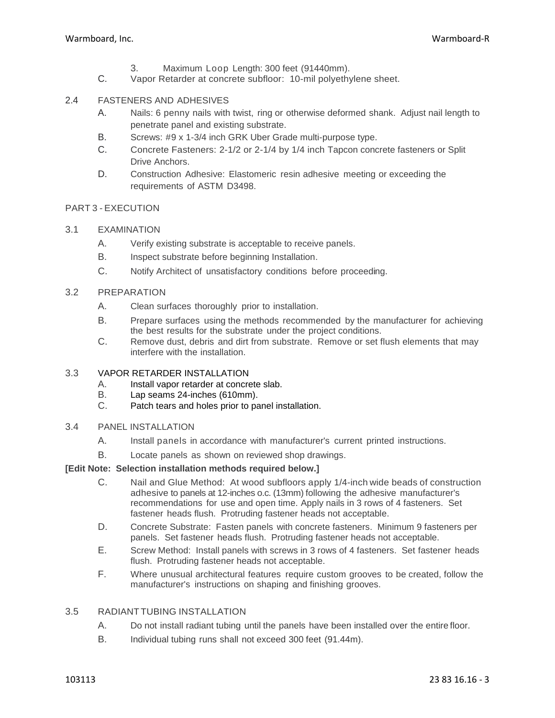- 3. Maximum Loop Length: 300 feet (91440mm).
- C. Vapor Retarder at concrete subfloor: 10-mil polyethylene sheet.

# 2.4 FASTENERS AND ADHESIVES

- A. Nails: 6 penny nails with twist, ring or otherwise deformed shank. Adjust nail length to penetrate panel and existing substrate.
- B. Screws: #9 x 1-3/4 inch GRK Uber Grade multi-purpose type.
- C. Concrete Fasteners: 2-1/2 or 2-1/4 by 1/4 inch Tapcon concrete fasteners or Split Drive Anchors.
- D. Construction Adhesive: Elastomeric resin adhesive meeting or exceeding the requirements of ASTM D3498.

### PART 3 - EXECUTION

- 3.1 EXAMINATION
	- A. Verify existing substrate is acceptable to receive panels.
	- B. Inspect substrate before beginning Installation.
	- C. Notify Architect of unsatisfactory conditions before proceeding.

### 3.2 PREPARATION

- A. Clean surfaces thoroughly prior to installation.
- B. Prepare surfaces using the methods recommended by the manufacturer for achieving the best results for the substrate under the project conditions.
- C. Remove dust, debris and dirt from substrate. Remove or set flush elements that may interfere with the installation.

## 3.3 VAPOR RETARDER INSTALLATION

- A. Install vapor retarder at concrete slab.
- B. Lap seams 24-inches (610mm).
- C. Patch tears and holes prior to panel installation.

# 3.4 PANEL INSTALLATION

- A. Install panels in accordance with manufacturer's current printed instructions.
- B. Locate panels as shown on reviewed shop drawings.

### **[Edit Note: Selection installation methods required below.]**

- C. Nail and Glue Method: At wood subfloors apply 1/4-inch wide beads of construction adhesive to panels at 12-inches o.c. (13mm) following the adhesive manufacturer's recommendations for use and open time. Apply nails in 3 rows of 4 fasteners. Set fastener heads flush. Protruding fastener heads not acceptable.
- D. Concrete Substrate: Fasten panels with concrete fasteners. Minimum 9 fasteners per panels. Set fastener heads flush. Protruding fastener heads not acceptable.
- E. Screw Method: Install panels with screws in 3 rows of 4 fasteners. Set fastener heads flush. Protruding fastener heads not acceptable.
- F. Where unusual architectural features require custom grooves to be created, follow the manufacturer's instructions on shaping and finishing grooves.

### 3.5 RADIANTTUBING INSTALLATION

- A. Do not install radiant tubing until the panels have been installed over the entire floor.
- B. Individual tubing runs shall not exceed 300 feet (91.44m).